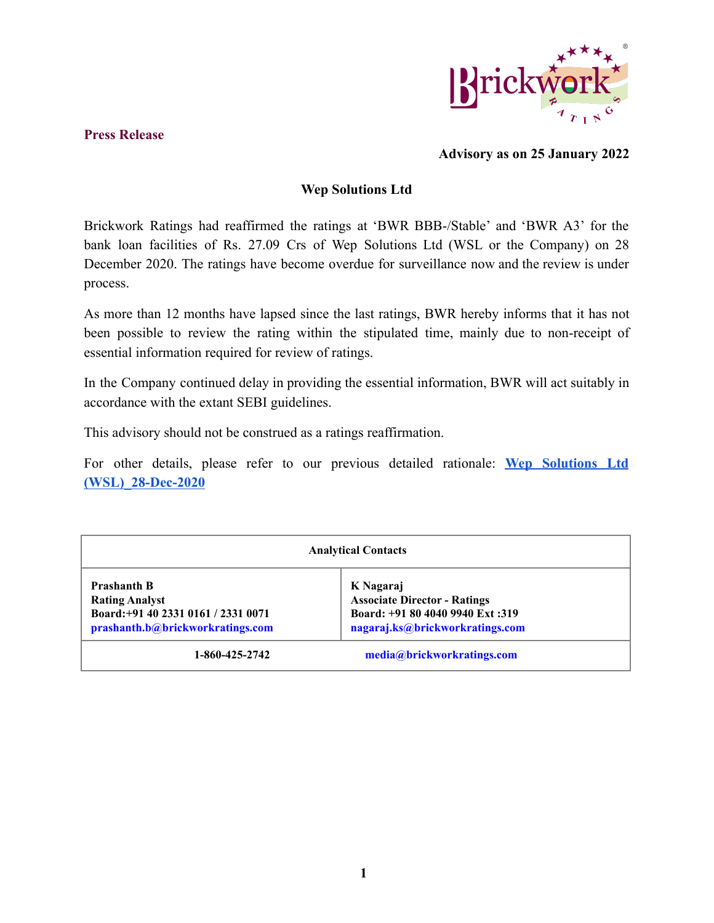

## **Press Release**

## **Advisory as on 25 January 2022**

## **Wep Solutions Ltd**

Brickwork Ratings had reaffirmed the ratings at 'BWR BBB-/Stable' and 'BWR A3' for the bank loan facilities of Rs. 27.09 Crs of Wep Solutions Ltd (WSL or the Company) on 28 December 2020. The ratings have become overdue for surveillance now and the review is under process.

As more than 12 months have lapsed since the last ratings, BWR hereby informs that it has not been possible to review the rating within the stipulated time, mainly due to non-receipt of essential information required for review of ratings.

In the Company continued delay in providing the essential information, BWR will act suitably in accordance with the extant SEBI guidelines.

This advisory should not be construed as a ratings reaffirmation.

For other details, please refer to our previous detailed rationale: **Wep [Solutions](https://www.brickworkratings.com/Admin/PressRelease/WeP-Solutions-28Dec2020.pdf) Ltd [\(WSL\)\\_28-Dec-2020](https://www.brickworkratings.com/Admin/PressRelease/WeP-Solutions-28Dec2020.pdf)**

| <b>Analytical Contacts</b>                                                                                             |                                                                                                                         |
|------------------------------------------------------------------------------------------------------------------------|-------------------------------------------------------------------------------------------------------------------------|
| <b>Prashanth B</b><br><b>Rating Analyst</b><br>Board: +91 40 2331 0161 / 2331 0071<br>prashanth.b@brickworkratings.com | K Nagaraj<br><b>Associate Director - Ratings</b><br>Board: +91 80 4040 9940 Ext: 319<br>nagaraj.ks@brickworkratings.com |
| 1-860-425-2742                                                                                                         | media@brickworkratings.com                                                                                              |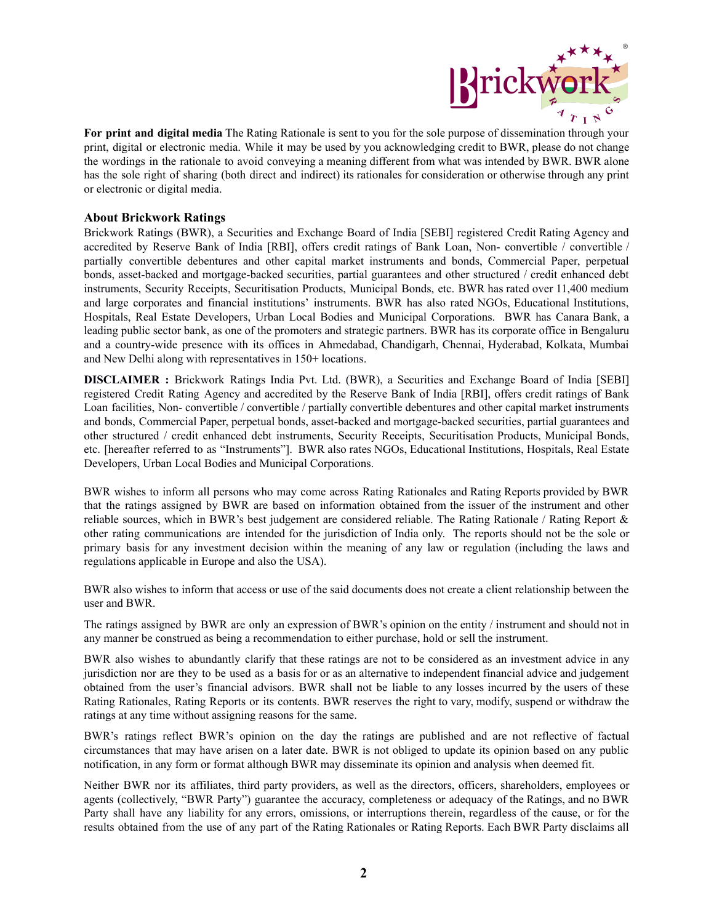

**For print and digital media** The Rating Rationale is sent to you for the sole purpose of dissemination through your print, digital or electronic media. While it may be used by you acknowledging credit to BWR, please do not change the wordings in the rationale to avoid conveying a meaning different from what was intended by BWR. BWR alone has the sole right of sharing (both direct and indirect) its rationales for consideration or otherwise through any print or electronic or digital media.

## **About Brickwork Ratings**

Brickwork Ratings (BWR), a Securities and Exchange Board of India [SEBI] registered Credit Rating Agency and accredited by Reserve Bank of India [RBI], offers credit ratings of Bank Loan, Non- convertible / convertible / partially convertible debentures and other capital market instruments and bonds, Commercial Paper, perpetual bonds, asset-backed and mortgage-backed securities, partial guarantees and other structured / credit enhanced debt instruments, Security Receipts, Securitisation Products, Municipal Bonds, etc. BWR has rated over 11,400 medium and large corporates and financial institutions' instruments. BWR has also rated NGOs, Educational Institutions, Hospitals, Real Estate Developers, Urban Local Bodies and Municipal Corporations. BWR has Canara Bank, a leading public sector bank, as one of the promoters and strategic partners. BWR has its corporate office in Bengaluru and a country-wide presence with its offices in Ahmedabad, Chandigarh, Chennai, Hyderabad, Kolkata, Mumbai and New Delhi along with representatives in 150+ locations.

**DISCLAIMER :** Brickwork Ratings India Pvt. Ltd. (BWR), a Securities and Exchange Board of India [SEBI] registered Credit Rating Agency and accredited by the Reserve Bank of India [RBI], offers credit ratings of Bank Loan facilities, Non- convertible / convertible / partially convertible debentures and other capital market instruments and bonds, Commercial Paper, perpetual bonds, asset-backed and mortgage-backed securities, partial guarantees and other structured / credit enhanced debt instruments, Security Receipts, Securitisation Products, Municipal Bonds, etc. [hereafter referred to as "Instruments"]. BWR also rates NGOs, Educational Institutions, Hospitals, Real Estate Developers, Urban Local Bodies and Municipal Corporations.

BWR wishes to inform all persons who may come across Rating Rationales and Rating Reports provided by BWR that the ratings assigned by BWR are based on information obtained from the issuer of the instrument and other reliable sources, which in BWR's best judgement are considered reliable. The Rating Rationale / Rating Report & other rating communications are intended for the jurisdiction of India only. The reports should not be the sole or primary basis for any investment decision within the meaning of any law or regulation (including the laws and regulations applicable in Europe and also the USA).

BWR also wishes to inform that access or use of the said documents does not create a client relationship between the user and BWR.

The ratings assigned by BWR are only an expression of BWR's opinion on the entity / instrument and should not in any manner be construed as being a recommendation to either purchase, hold or sell the instrument.

BWR also wishes to abundantly clarify that these ratings are not to be considered as an investment advice in any jurisdiction nor are they to be used as a basis for or as an alternative to independent financial advice and judgement obtained from the user's financial advisors. BWR shall not be liable to any losses incurred by the users of these Rating Rationales, Rating Reports or its contents. BWR reserves the right to vary, modify, suspend or withdraw the ratings at any time without assigning reasons for the same.

BWR's ratings reflect BWR's opinion on the day the ratings are published and are not reflective of factual circumstances that may have arisen on a later date. BWR is not obliged to update its opinion based on any public notification, in any form or format although BWR may disseminate its opinion and analysis when deemed fit.

Neither BWR nor its affiliates, third party providers, as well as the directors, officers, shareholders, employees or agents (collectively, "BWR Party") guarantee the accuracy, completeness or adequacy of the Ratings, and no BWR Party shall have any liability for any errors, omissions, or interruptions therein, regardless of the cause, or for the results obtained from the use of any part of the Rating Rationales or Rating Reports. Each BWR Party disclaims all